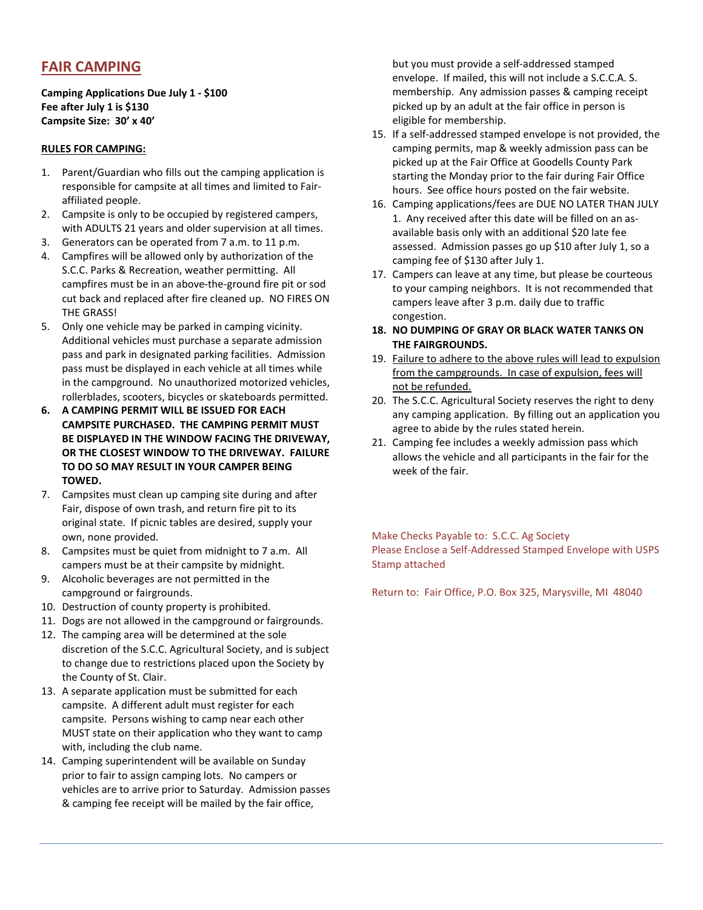## FAIR CAMPING

Camping Applications Due July 1 - \$100 Fee after July 1 is \$130 Campsite Size: 30' x 40'

## RULES FOR CAMPING:

- 1. Parent/Guardian who fills out the camping application is responsible for campsite at all times and limited to Fairaffiliated people.
- 2. Campsite is only to be occupied by registered campers, with ADULTS 21 years and older supervision at all times.
- 3. Generators can be operated from 7 a.m. to 11 p.m.
- 4. Campfires will be allowed only by authorization of the S.C.C. Parks & Recreation, weather permitting. All campfires must be in an above-the-ground fire pit or sod cut back and replaced after fire cleaned up. NO FIRES ON THE GRASS!
- 5. Only one vehicle may be parked in camping vicinity. Additional vehicles must purchase a separate admission pass and park in designated parking facilities. Admission pass must be displayed in each vehicle at all times while in the campground. No unauthorized motorized vehicles, rollerblades, scooters, bicycles or skateboards permitted.
- 6. A CAMPING PERMIT WILL BE ISSUED FOR EACH CAMPSITE PURCHASED. THE CAMPING PERMIT MUST BE DISPLAYED IN THE WINDOW FACING THE DRIVEWAY, OR THE CLOSEST WINDOW TO THE DRIVEWAY. FAILURE TO DO SO MAY RESULT IN YOUR CAMPER BEING TOWED.
- 7. Campsites must clean up camping site during and after Fair, dispose of own trash, and return fire pit to its original state. If picnic tables are desired, supply your own, none provided.
- 8. Campsites must be quiet from midnight to 7 a.m. All campers must be at their campsite by midnight.
- 9. Alcoholic beverages are not permitted in the campground or fairgrounds.
- 10. Destruction of county property is prohibited.
- 11. Dogs are not allowed in the campground or fairgrounds.
- 12. The camping area will be determined at the sole discretion of the S.C.C. Agricultural Society, and is subject to change due to restrictions placed upon the Society by the County of St. Clair.
- 13. A separate application must be submitted for each campsite. A different adult must register for each campsite. Persons wishing to camp near each other MUST state on their application who they want to camp with, including the club name.
- 14. Camping superintendent will be available on Sunday prior to fair to assign camping lots. No campers or vehicles are to arrive prior to Saturday. Admission passes & camping fee receipt will be mailed by the fair office,

but you must provide a self-addressed stamped envelope. If mailed, this will not include a S.C.C.A. S. membership. Any admission passes & camping receipt picked up by an adult at the fair office in person is eligible for membership.

- 15. If a self-addressed stamped envelope is not provided, the camping permits, map & weekly admission pass can be picked up at the Fair Office at Goodells County Park starting the Monday prior to the fair during Fair Office hours. See office hours posted on the fair website.
- 16. Camping applications/fees are DUE NO LATER THAN JULY 1. Any received after this date will be filled on an asavailable basis only with an additional \$20 late fee assessed. Admission passes go up \$10 after July 1, so a camping fee of \$130 after July 1.
- 17. Campers can leave at any time, but please be courteous to your camping neighbors. It is not recommended that campers leave after 3 p.m. daily due to traffic congestion.
- 18. NO DUMPING OF GRAY OR BLACK WATER TANKS ON THE FAIRGROUNDS.
- 19. Failure to adhere to the above rules will lead to expulsion from the campgrounds. In case of expulsion, fees will not be refunded.
- 20. The S.C.C. Agricultural Society reserves the right to deny any camping application. By filling out an application you agree to abide by the rules stated herein.
- 21. Camping fee includes a weekly admission pass which allows the vehicle and all participants in the fair for the week of the fair.

Make Checks Payable to: S.C.C. Ag Society Please Enclose a Self-Addressed Stamped Envelope with USPS Stamp attached

Return to: Fair Office, P.O. Box 325, Marysville, MI 48040